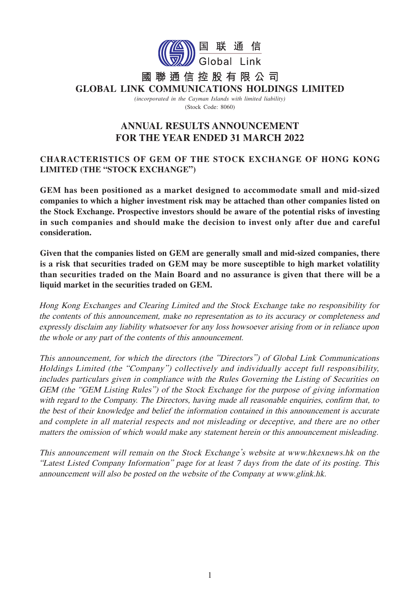

### 聯通信控股有限公司 國 **GLOBAL LINK COMMUNICATIONS HOLDINGS LIMITED**

*(incorporated in the Cayman Islands with limited liability)* (Stock Code: 8060)

# **ANNUAL RESULTS ANNOUNCEMENT FOR THE YEAR ENDED 31 MARCH 2022**

# **CHARACTERISTICS OF GEM OF THE STOCK EXCHANGE OF HONG KONG LIMITED (THE "STOCK EXCHANGE")**

**GEM has been positioned as a market designed to accommodate small and mid-sized companies to which a higher investment risk may be attached than other companies listed on the Stock Exchange. Prospective investors should be aware of the potential risks of investing in such companies and should make the decision to invest only after due and careful consideration.** 

**Given that the companies listed on GEM are generally small and mid-sized companies, there is a risk that securities traded on GEM may be more susceptible to high market volatility than securities traded on the Main Board and no assurance is given that there will be a liquid market in the securities traded on GEM.**

Hong Kong Exchanges and Clearing Limited and the Stock Exchange take no responsibility for the contents of this announcement, make no representation as to its accuracy or completeness and expressly disclaim any liability whatsoever for any loss howsoever arising from or in reliance upon the whole or any part of the contents of this announcement.

This announcement, for which the directors (the "Directors") of Global Link Communications Holdings Limited (the "Company") collectively and individually accept full responsibility, includes particulars given in compliance with the Rules Governing the Listing of Securities on GEM (the "GEM Listing Rules") of the Stock Exchange for the purpose of giving information with regard to the Company. The Directors, having made all reasonable enquiries, confirm that, to the best of their knowledge and belief the information contained in this announcement is accurate and complete in all material respects and not misleading or deceptive, and there are no other matters the omission of which would make any statement herein or this announcement misleading.

This announcement will remain on the Stock Exchange's website at www.hkexnews.hk on the "Latest Listed Company Information" page for at least 7 days from the date of its posting. This announcement will also be posted on the website of the Company at www.glink.hk.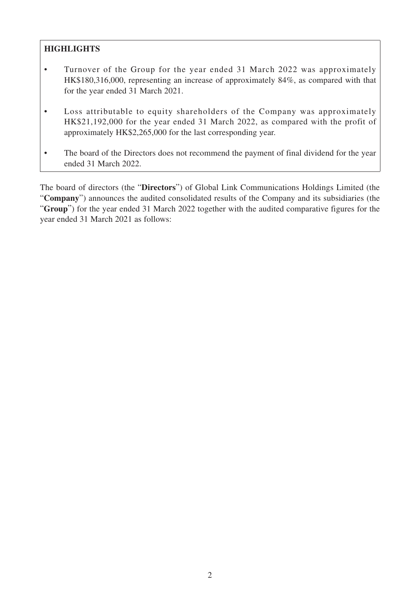# **HIGHLIGHTS**

- Turnover of the Group for the year ended 31 March 2022 was approximately HK\$180,316,000, representing an increase of approximately 84%, as compared with that for the year ended 31 March 2021.
- Loss attributable to equity shareholders of the Company was approximately HK\$21,192,000 for the year ended 31 March 2022, as compared with the profit of approximately HK\$2,265,000 for the last corresponding year.
- The board of the Directors does not recommend the payment of final dividend for the year ended 31 March 2022.

The board of directors (the "**Directors**") of Global Link Communications Holdings Limited (the "**Company**") announces the audited consolidated results of the Company and its subsidiaries (the "**Group**") for the year ended 31 March 2022 together with the audited comparative figures for the year ended 31 March 2021 as follows: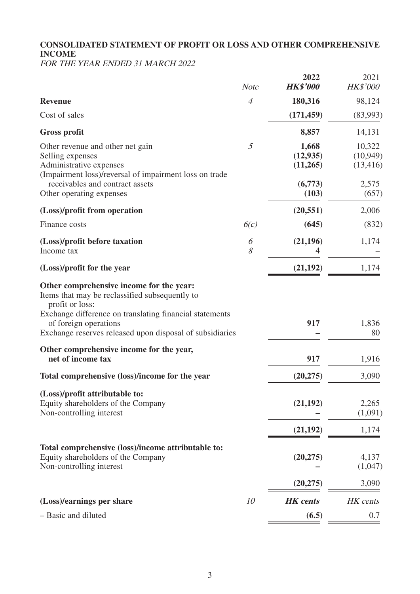# **CONSOLIDATED STATEMENT OF PROFIT OR LOSS AND OTHER COMPREHENSIVE INCOME**

FOR THE YEAR ENDED 31 MARCH 2022

|                                                                                                                                                                                                                                                               | <b>Note</b>    | 2022<br><b>HK\$'000</b>        | 2021<br><b>HK\$'000</b>          |
|---------------------------------------------------------------------------------------------------------------------------------------------------------------------------------------------------------------------------------------------------------------|----------------|--------------------------------|----------------------------------|
| <b>Revenue</b>                                                                                                                                                                                                                                                | $\overline{4}$ | 180,316                        | 98,124                           |
| Cost of sales                                                                                                                                                                                                                                                 |                | (171, 459)                     | (83,993)                         |
| <b>Gross profit</b>                                                                                                                                                                                                                                           |                | 8,857                          | 14,131                           |
| Other revenue and other net gain<br>Selling expenses<br>Administrative expenses<br>(Impairment loss)/reversal of impairment loss on trade                                                                                                                     | 5              | 1,668<br>(12, 935)<br>(11,265) | 10,322<br>(10, 949)<br>(13, 416) |
| receivables and contract assets<br>Other operating expenses                                                                                                                                                                                                   |                | (6,773)<br>(103)               | 2,575<br>(657)                   |
| (Loss)/profit from operation                                                                                                                                                                                                                                  |                | (20, 551)                      | 2,006                            |
| Finance costs                                                                                                                                                                                                                                                 | 6(c)           | (645)                          | (832)                            |
| (Loss)/profit before taxation<br>Income tax                                                                                                                                                                                                                   | 6<br>8         | (21, 196)                      | 1,174                            |
| (Loss)/profit for the year                                                                                                                                                                                                                                    |                | (21, 192)                      | 1,174                            |
| Other comprehensive income for the year:<br>Items that may be reclassified subsequently to<br>profit or loss:<br>Exchange difference on translating financial statements<br>of foreign operations<br>Exchange reserves released upon disposal of subsidiaries |                | 917                            | 1,836<br>80                      |
| Other comprehensive income for the year,<br>net of income tax                                                                                                                                                                                                 |                | 917                            | 1,916                            |
| Total comprehensive (loss)/income for the year                                                                                                                                                                                                                |                | (20, 275)                      | 3,090                            |
| (Loss)/profit attributable to:<br>Equity shareholders of the Company<br>Non-controlling interest                                                                                                                                                              |                | (21, 192)                      | 2,265<br>(1,091)                 |
|                                                                                                                                                                                                                                                               |                | (21, 192)                      | 1,174                            |
| Total comprehensive (loss)/income attributable to:<br>Equity shareholders of the Company<br>Non-controlling interest                                                                                                                                          |                | (20, 275)                      | 4,137<br>(1,047)                 |
|                                                                                                                                                                                                                                                               |                | (20, 275)                      | 3,090                            |
| (Loss)/earnings per share                                                                                                                                                                                                                                     | 10             | <b>HK</b> cents                | HK cents                         |
| - Basic and diluted                                                                                                                                                                                                                                           |                | (6.5)                          | 0.7                              |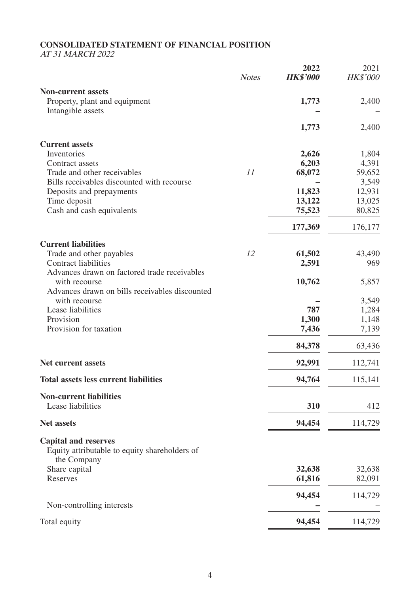# **CONSOLIDATED STATEMENT OF FINANCIAL POSITION**

AT 31 MARCH 2022

|                                                                                             | <b>Notes</b> | 2022<br><b>HK\$'000</b> | 2021<br><b>HK\$'000</b> |
|---------------------------------------------------------------------------------------------|--------------|-------------------------|-------------------------|
| <b>Non-current assets</b><br>Property, plant and equipment<br>Intangible assets             |              | 1,773                   | 2,400                   |
|                                                                                             |              | 1,773                   | 2,400                   |
| <b>Current assets</b>                                                                       |              |                         |                         |
| Inventories                                                                                 |              | 2,626                   | 1,804                   |
| Contract assets                                                                             |              | 6,203                   | 4,391                   |
| Trade and other receivables                                                                 | 11           | 68,072                  | 59,652                  |
| Bills receivables discounted with recourse                                                  |              |                         | 3,549                   |
| Deposits and prepayments                                                                    |              | 11,823                  | 12,931                  |
| Time deposit<br>Cash and cash equivalents                                                   |              | 13,122<br>75,523        | 13,025<br>80,825        |
|                                                                                             |              |                         |                         |
|                                                                                             |              | 177,369                 | 176,177                 |
| <b>Current liabilities</b>                                                                  |              |                         |                         |
| Trade and other payables                                                                    | 12           | 61,502                  | 43,490                  |
| <b>Contract liabilities</b><br>Advances drawn on factored trade receivables                 |              | 2,591                   | 969                     |
| with recourse<br>Advances drawn on bills receivables discounted                             |              | 10,762                  | 5,857                   |
| with recourse                                                                               |              |                         | 3,549                   |
| Lease liabilities                                                                           |              | 787                     | 1,284                   |
| Provision                                                                                   |              | 1,300                   | 1,148                   |
| Provision for taxation                                                                      |              | 7,436                   | 7,139                   |
|                                                                                             |              | 84,378                  | 63,436                  |
| <b>Net current assets</b>                                                                   |              | 92,991                  | 112,741                 |
| <b>Total assets less current liabilities</b>                                                |              | 94,764                  | 115,141                 |
| <b>Non-current liabilities</b>                                                              |              |                         |                         |
| Lease liabilities                                                                           |              | 310                     | 412                     |
| <b>Net assets</b>                                                                           |              | 94,454                  | 114,729                 |
| <b>Capital and reserves</b><br>Equity attributable to equity shareholders of<br>the Company |              |                         |                         |
| Share capital                                                                               |              | 32,638                  | 32,638                  |
| Reserves                                                                                    |              | 61,816                  | 82,091                  |
|                                                                                             |              | 94,454                  | 114,729                 |
| Non-controlling interests                                                                   |              |                         |                         |
| Total equity                                                                                |              | 94,454                  | 114,729                 |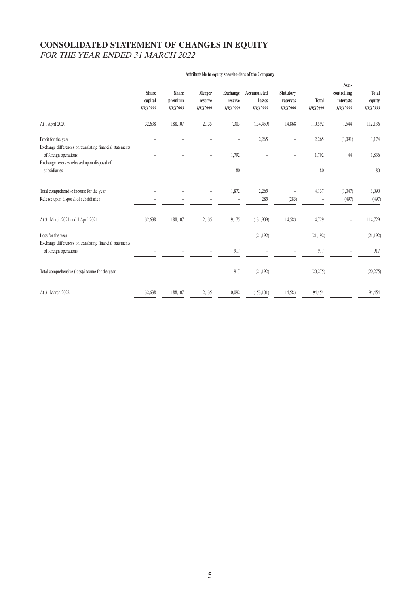# **CONSOLIDATED STATEMENT OF CHANGES IN EQUITY** FOR THE YEAR ENDED 31 MARCH 2022

|                                                                                                          | Attributable to equity shareholders of the Company |                                            |                                      |                                               |                                         |                                                 |                          |                                                     |                                           |
|----------------------------------------------------------------------------------------------------------|----------------------------------------------------|--------------------------------------------|--------------------------------------|-----------------------------------------------|-----------------------------------------|-------------------------------------------------|--------------------------|-----------------------------------------------------|-------------------------------------------|
|                                                                                                          | <b>Share</b><br>capital<br><b>HK\$'000</b>         | <b>Share</b><br>premium<br><b>HK\$'000</b> | Merger<br>reserve<br><b>HK\$'000</b> | <b>Exchange</b><br>reserve<br><b>HK\$'000</b> | Accumulated<br>losses<br><b>HKS'000</b> | <b>Statutory</b><br>reserves<br><b>HK\$'000</b> | Total<br><b>HK\$'000</b> | Non-<br>controlling<br><b>interests</b><br>HK\$'000 | <b>Total</b><br>equity<br><b>HK\$'000</b> |
| At 1 April 2020                                                                                          | 32,638                                             | 188,107                                    | 2,135                                | 7,303                                         | (134, 459)                              | 14,868                                          | 110,592                  | 1,544                                               | 112,136                                   |
| Profit for the year<br>Exchange differences on translating financial statements<br>of foreign operations |                                                    |                                            | $\overline{a}$                       | 1,792                                         | 2,265                                   |                                                 | 2,265<br>1,792           | (1,091)<br>44                                       | 1,174<br>1,836                            |
| Exchange reserves released upon disposal of<br>subsidiaries                                              |                                                    |                                            |                                      | $80\,$                                        |                                         |                                                 | 80                       |                                                     | 80                                        |
| Total comprehensive income for the year<br>Release upon disposal of subsidiaries                         |                                                    |                                            |                                      | 1,872                                         | 2,265<br>285                            | (285)                                           | 4,137<br>$\overline{a}$  | (1,047)<br>(497)                                    | 3,090<br>(497)                            |
| At 31 March 2021 and 1 April 2021                                                                        | 32,638                                             | 188,107                                    | 2,135                                | 9,175                                         | (131,909)                               | 14,583                                          | 114,729                  | $\overline{a}$                                      | 114,729                                   |
| Loss for the year<br>Exchange differences on translating financial statements                            |                                                    |                                            |                                      | $\overline{a}$                                | (21, 192)                               | $\overline{a}$                                  | (21,192)                 |                                                     | (21, 192)                                 |
| of foreign operations                                                                                    |                                                    |                                            |                                      | 917                                           |                                         |                                                 | 917                      |                                                     | 917                                       |
| Total comprehensive (loss)/income for the year                                                           |                                                    |                                            |                                      | 917                                           | (21, 192)                               | $\qquad \qquad -$                               | (20, 275)                |                                                     | (20,275)                                  |
| At 31 March 2022                                                                                         | 32,638                                             | 188,107                                    | 2,135                                | 10,092                                        | (153, 101)                              | 14,583                                          | 94,454                   |                                                     | 94,454                                    |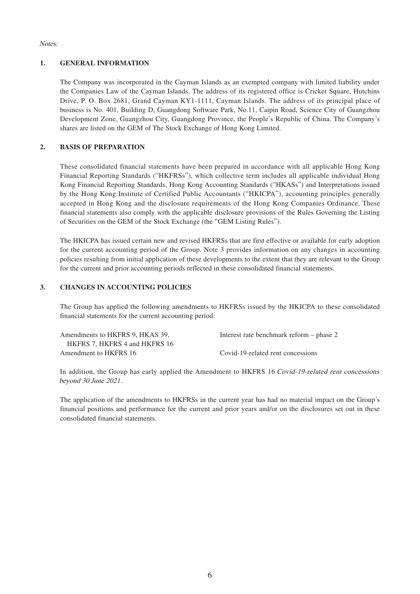Notes:

#### **1. GENERAL INFORMATION**

The Company was incorporated in the Cayman Islands as an exempted company with limited liability under the Companies Law of the Cayman Islands. The address of its registered office is Cricket Square, Hutchins Drive, P. O. Box 2681, Grand Cayman KY1-1111, Cayman Islands. The address of its principal place of business is No. 401, Building D, Guangdong Software Park, No.11, Caipin Road, Science City of Guangzhou Development Zone, Guangzhou City, Guangdong Province, the People's Republic of China. The Company's shares are listed on the GEM of The Stock Exchange of Hong Kong Limited.

### **2. BASIS OF PREPARATION**

These consolidated financial statements have been prepared in accordance with all applicable Hong Kong Financial Reporting Standards ("HKFRSs"), which collective term includes all applicable individual Hong Kong Financial Reporting Standards, Hong Kong Accounting Standards ("HKASs") and Interpretations issued by the Hong Kong Institute of Certified Public Accountants ("HKICPA"), accounting principles generally accepted in Hong Kong and the disclosure requirements of the Hong Kong Companies Ordinance. These financial statements also comply with the applicable disclosure provisions of the Rules Governing the Listing of Securities on the GEM of the Stock Exchange (the "GEM Listing Rules").

The HKICPA has issued certain new and revised HKFRSs that are first effective or available for early adoption for the current accounting period of the Group. Note 3 provides information on any changes in accounting policies resulting from initial application of these developments to the extent that they are relevant to the Group for the current and prior accounting periods reflected in these consolidated financial statements.

#### **3. CHANGES IN ACCOUNTING POLICIES**

The Group has applied the following amendments to HKFRSs issued by the HKICPA to these consolidated financial statements for the current accounting period:

| Amendments to HKFRS 9, HKAS 39, | Interest rate benchmark reform – phase 2 |
|---------------------------------|------------------------------------------|
| HKFRS 7. HKFRS 4 and HKFRS 16   |                                          |
| Amendment to HKFRS 16           | Covid-19-related rent concessions        |

In addition, the Group has early applied the Amendment to HKFRS 16 Covid-19-related rent concessions beyond 30 June 2021.

The application of the amendments to HKFRSs in the current year has had no material impact on the Group's financial positions and performance for the current and prior years and/or on the disclosures set out in these consolidated financial statements.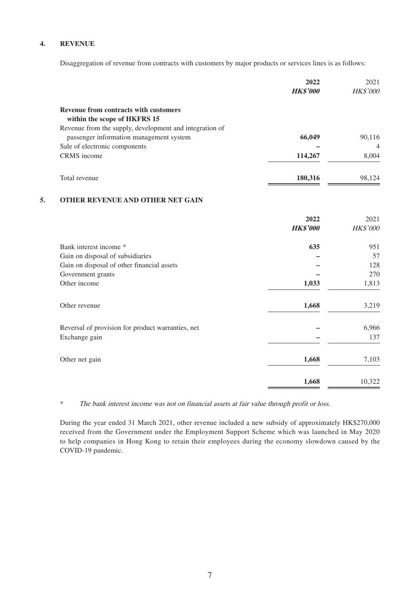#### **4. REVENUE**

Disaggregation of revenue from contracts with customers by major products or services lines is as follows:

|                                                         | 2022<br><b>HK\$'000</b> | 2021<br><b>HK\$'000</b> |
|---------------------------------------------------------|-------------------------|-------------------------|
| <b>Revenue from contracts with customers</b>            |                         |                         |
| within the scope of HKFRS 15                            |                         |                         |
| Revenue from the supply, development and integration of |                         |                         |
| passenger information management system                 | 66,049                  | 90,116                  |
| Sale of electronic components                           |                         | $\overline{4}$          |
| CRMS income                                             | 114,267                 | 8,004                   |
| Total revenue                                           | 180,316                 | 98.124                  |

### **5. OTHER REVENUE AND OTHER NET GAIN**

|                                                   | 2022<br><b>HK\$'000</b> | 2021<br>HK\$'000 |
|---------------------------------------------------|-------------------------|------------------|
| Bank interest income *                            | 635                     | 951              |
| Gain on disposal of subsidiaries                  |                         | 57               |
| Gain on disposal of other financial assets        |                         | 128              |
| Government grants                                 |                         | 270              |
| Other income                                      | 1,033                   | 1,813            |
| Other revenue                                     | 1,668                   | 3,219            |
| Reversal of provision for product warranties, net |                         | 6,966            |
| Exchange gain                                     |                         | 137              |
| Other net gain                                    | 1,668                   | 7,103            |
|                                                   | 1,668                   | 10,322           |

\* The bank interest income was not on financial assets at fair value through profit or loss.

During the year ended 31 March 2021, other revenue included a new subsidy of approximately HK\$270,000 received from the Government under the Employment Support Scheme which was launched in May 2020 to help companies in Hong Kong to retain their employees during the economy slowdown caused by the COVID-19 pandemic.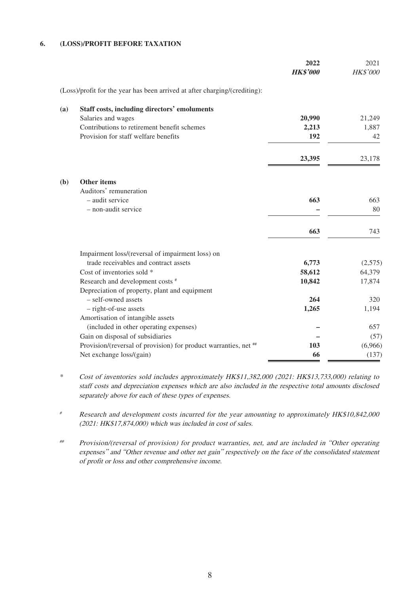#### **6. (LOSS)/PROFIT BEFORE TAXATION**

|     |                                                                            | 2022<br><b>HK\$'000</b> | 2021<br>HK\$'000 |
|-----|----------------------------------------------------------------------------|-------------------------|------------------|
|     | (Loss)/profit for the year has been arrived at after charging/(crediting): |                         |                  |
| (a) | <b>Staff costs, including directors' emoluments</b>                        |                         |                  |
|     | Salaries and wages                                                         | 20,990                  | 21,249           |
|     | Contributions to retirement benefit schemes                                | 2,213                   | 1,887            |
|     | Provision for staff welfare benefits                                       | 192                     | 42               |
|     |                                                                            | 23,395                  | 23,178           |
| (b) | <b>Other items</b>                                                         |                         |                  |
|     | Auditors' remuneration                                                     |                         |                  |
|     | - audit service                                                            | 663                     | 663              |
|     | - non-audit service                                                        |                         | 80               |
|     |                                                                            | 663                     | 743              |
|     | Impairment loss/(reversal of impairment loss) on                           |                         |                  |
|     | trade receivables and contract assets                                      | 6,773                   | (2,575)          |
|     | Cost of inventories sold *                                                 | 58,612                  | 64,379           |
|     | Research and development costs #                                           | 10,842                  | 17,874           |
|     | Depreciation of property, plant and equipment                              |                         |                  |
|     | - self-owned assets                                                        | 264                     | 320              |
|     | - right-of-use assets                                                      | 1,265                   | 1,194            |
|     | Amortisation of intangible assets                                          |                         |                  |
|     | (included in other operating expenses)                                     |                         | 657              |
|     | Gain on disposal of subsidiaries                                           |                         | (57)             |
|     | Provision/(reversal of provision) for product warranties, net ##           | 103                     | (6,966)          |
|     | Net exchange loss/(gain)                                                   | 66                      | (137)            |

\* Cost of inventories sold includes approximately HK\$11,382,000 (2021: HK\$13,733,000) relating to staff costs and depreciation expenses which are also included in the respective total amounts disclosed separately above for each of these types of expenses.

# Research and development costs incurred for the year amounting to approximately HK\$10,842,000 (2021: HK\$17,874,000) which was included in cost of sales.

## Provision/(reversal of provision) for product warranties, net, and are included in "Other operating expenses" and "Other revenue and other net gain" respectively on the face of the consolidated statement of profit or loss and other comprehensive income.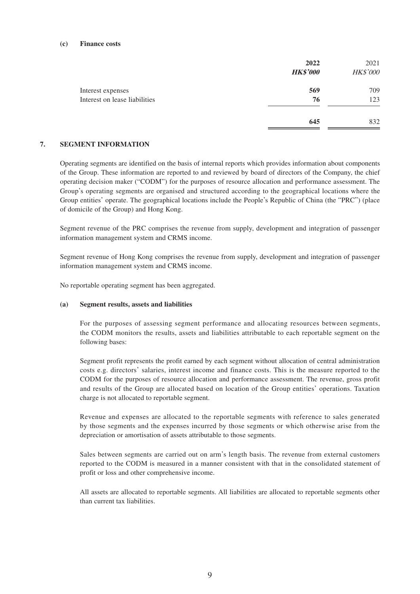#### **(c) Finance costs**

|                               | 2022<br><b>HK\$'000</b> | 2021<br>HK\$'000 |
|-------------------------------|-------------------------|------------------|
| Interest expenses             | 569                     | 709              |
| Interest on lease liabilities | 76                      | 123              |
|                               | 645                     | 832              |

#### **7. SEGMENT INFORMATION**

Operating segments are identified on the basis of internal reports which provides information about components of the Group. These information are reported to and reviewed by board of directors of the Company, the chief operating decision maker ("CODM") for the purposes of resource allocation and performance assessment. The Group's operating segments are organised and structured according to the geographical locations where the Group entities' operate. The geographical locations include the People's Republic of China (the "PRC") (place of domicile of the Group) and Hong Kong.

Segment revenue of the PRC comprises the revenue from supply, development and integration of passenger information management system and CRMS income.

Segment revenue of Hong Kong comprises the revenue from supply, development and integration of passenger information management system and CRMS income.

No reportable operating segment has been aggregated.

#### **(a) Segment results, assets and liabilities**

For the purposes of assessing segment performance and allocating resources between segments, the CODM monitors the results, assets and liabilities attributable to each reportable segment on the following bases:

Segment profit represents the profit earned by each segment without allocation of central administration costs e.g. directors' salaries, interest income and finance costs. This is the measure reported to the CODM for the purposes of resource allocation and performance assessment. The revenue, gross profit and results of the Group are allocated based on location of the Group entities' operations. Taxation charge is not allocated to reportable segment.

Revenue and expenses are allocated to the reportable segments with reference to sales generated by those segments and the expenses incurred by those segments or which otherwise arise from the depreciation or amortisation of assets attributable to those segments.

Sales between segments are carried out on arm's length basis. The revenue from external customers reported to the CODM is measured in a manner consistent with that in the consolidated statement of profit or loss and other comprehensive income.

All assets are allocated to reportable segments. All liabilities are allocated to reportable segments other than current tax liabilities.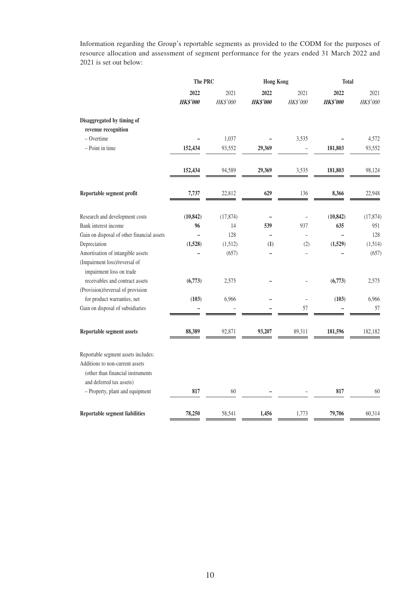Information regarding the Group's reportable segments as provided to the CODM for the purposes of resource allocation and assessment of segment performance for the years ended 31 March 2022 and 2021 is set out below:

|                                                                       | The PRC         |           | <b>Hong Kong</b> |                          | <b>Total</b>    |           |
|-----------------------------------------------------------------------|-----------------|-----------|------------------|--------------------------|-----------------|-----------|
|                                                                       | 2022            | 2021      | 2022             | 2021                     | 2022            | 2021      |
|                                                                       | <b>HK\$'000</b> | HK\$'000  | <b>HK\$'000</b>  | HK\$'000                 | <b>HK\$'000</b> | HK\$'000  |
| Disaggregated by timing of                                            |                 |           |                  |                          |                 |           |
| revenue recognition                                                   |                 |           |                  |                          |                 |           |
| - Overtime                                                            |                 | 1,037     |                  | 3,535                    |                 | 4,572     |
| - Point in time                                                       | 152,434         | 93,552    | 29,369           |                          | 181,803         | 93,552    |
|                                                                       | 152,434         | 94,589    | 29,369           | 3,535                    | 181,803         | 98,124    |
| Reportable segment profit                                             | 7,737           | 22,812    | 629              | 136                      | 8,366           | 22,948    |
| Research and development costs                                        | (10, 842)       | (17, 874) |                  |                          | (10, 842)       | (17, 874) |
| Bank interest income                                                  | 96              | 14        | 539              | 937                      | 635             | 951       |
| Gain on disposal of other financial assets                            |                 | 128       | $\overline{a}$   | $\overline{\phantom{m}}$ | $\overline{a}$  | 128       |
| Depreciation                                                          | (1,528)         | (1,512)   | (1)              | (2)                      | (1,529)         | (1,514)   |
| Amortisation of intangible assets                                     |                 | (657)     |                  |                          | L               | (657)     |
| (Impairment loss)/reversal of<br>impairment loss on trade             |                 |           |                  |                          |                 |           |
| receivables and contract assets                                       | (6,773)         | 2,575     |                  |                          | (6,773)         | 2,575     |
| (Provision)/reversal of provision                                     |                 |           |                  |                          |                 |           |
| for product warranties, net                                           | (103)           | 6,966     |                  | $\overline{\phantom{a}}$ | (103)           | 6,966     |
| Gain on disposal of subsidiaries                                      |                 |           |                  | 57                       |                 | 57        |
| Reportable segment assets                                             | 88,389          | 92,871    | 93,207           | 89,311                   | 181,596         | 182,182   |
| Reportable segment assets includes:                                   |                 |           |                  |                          |                 |           |
| Additions to non-current assets<br>(other than financial instruments) |                 |           |                  |                          |                 |           |
| and deferred tax assets)                                              |                 |           |                  |                          |                 |           |
| - Property, plant and equipment                                       | 817             | 60        |                  |                          | 817             | 60        |
| <b>Reportable segment liabilities</b>                                 | 78,250          | 58,541    | 1,456            | 1,773                    | 79,706          | 60,314    |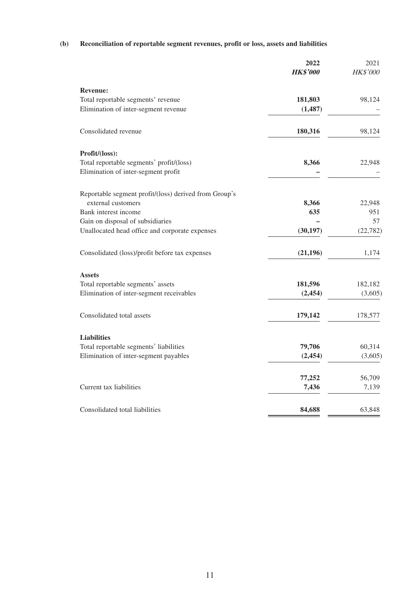## **(b) Reconciliation of reportable segment revenues, profit or loss, assets and liabilities**

|                                                       | 2022<br><b>HK\$'000</b> | 2021<br>HK\$'000 |
|-------------------------------------------------------|-------------------------|------------------|
|                                                       |                         |                  |
| <b>Revenue:</b>                                       |                         |                  |
| Total reportable segments' revenue                    | 181,803                 | 98,124           |
| Elimination of inter-segment revenue                  | (1, 487)                |                  |
| Consolidated revenue                                  | 180,316                 | 98,124           |
| Profit/(loss):                                        |                         |                  |
| Total reportable segments' profit/(loss)              | 8,366                   | 22,948           |
| Elimination of inter-segment profit                   |                         |                  |
| Reportable segment profit/(loss) derived from Group's |                         |                  |
| external customers                                    | 8,366                   | 22,948           |
| Bank interest income                                  | 635                     | 951              |
| Gain on disposal of subsidiaries                      |                         | 57               |
| Unallocated head office and corporate expenses        | (30, 197)               | (22, 782)        |
| Consolidated (loss)/profit before tax expenses        | (21, 196)               | 1,174            |
| <b>Assets</b>                                         |                         |                  |
| Total reportable segments' assets                     | 181,596                 | 182,182          |
| Elimination of inter-segment receivables              | (2, 454)                | (3,605)          |
| Consolidated total assets                             | 179,142                 | 178,577          |
| <b>Liabilities</b>                                    |                         |                  |
| Total reportable segments' liabilities                | 79,706                  | 60,314           |
| Elimination of inter-segment payables                 | (2, 454)                | (3,605)          |
|                                                       | 77,252                  | 56,709           |
| Current tax liabilities                               | 7,436                   | 7,139            |
| Consolidated total liabilities                        | 84,688                  | 63,848           |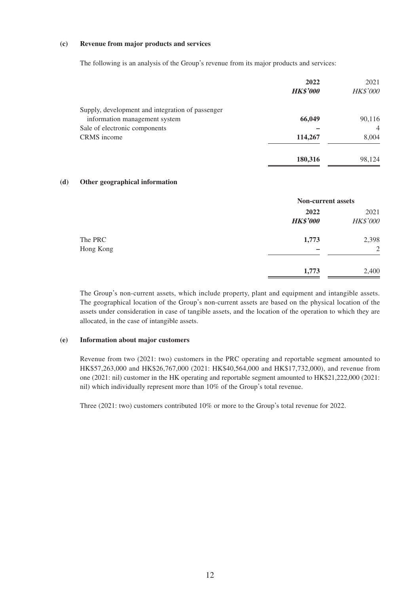#### **(c) Revenue from major products and services**

The following is an analysis of the Group's revenue from its major products and services:

|                                                  | 2022<br><b>HK\$'000</b> | 2021<br><b>HK\$'000</b> |
|--------------------------------------------------|-------------------------|-------------------------|
| Supply, development and integration of passenger |                         |                         |
| information management system                    | 66,049                  | 90,116                  |
| Sale of electronic components                    |                         | $\overline{4}$          |
| CRMS income                                      | 114,267                 | 8,004                   |
|                                                  | 180,316                 | 98,124                  |

#### **(d) Other geographical information**

|                      |                         | <b>Non-current assets</b> |  |  |
|----------------------|-------------------------|---------------------------|--|--|
|                      | 2022<br><b>HK\$'000</b> | 2021<br><b>HK\$'000</b>   |  |  |
| The PRC<br>Hong Kong | 1,773                   | 2,398<br>2                |  |  |
|                      | 1,773                   | 2,400                     |  |  |

The Group's non-current assets, which include property, plant and equipment and intangible assets. The geographical location of the Group's non-current assets are based on the physical location of the assets under consideration in case of tangible assets, and the location of the operation to which they are allocated, in the case of intangible assets.

#### **(e) Information about major customers**

Revenue from two (2021: two) customers in the PRC operating and reportable segment amounted to HK\$57,263,000 and HK\$26,767,000 (2021: HK\$40,564,000 and HK\$17,732,000), and revenue from one (2021: nil) customer in the HK operating and reportable segment amounted to HK\$21,222,000 (2021: nil) which individually represent more than 10% of the Group's total revenue.

Three (2021: two) customers contributed 10% or more to the Group's total revenue for 2022.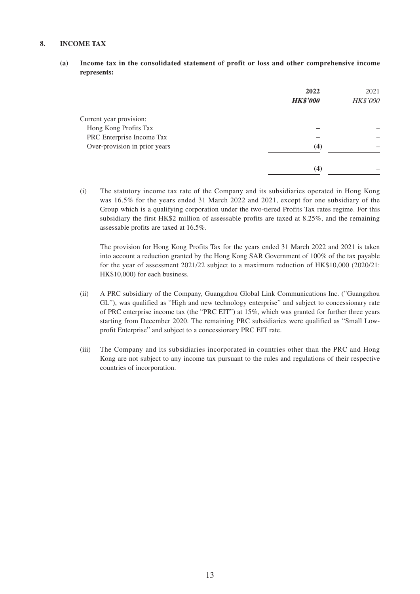#### **8. INCOME TAX**

**(a) Income tax in the consolidated statement of profit or loss and other comprehensive income represents:**

|                               | 2022<br><b>HK\$'000</b> | 2021<br>HK\$'000 |
|-------------------------------|-------------------------|------------------|
| Current year provision:       |                         |                  |
| Hong Kong Profits Tax         |                         |                  |
| PRC Enterprise Income Tax     |                         |                  |
| Over-provision in prior years | (4)                     |                  |
|                               | (4)                     |                  |

(i) The statutory income tax rate of the Company and its subsidiaries operated in Hong Kong was 16.5% for the years ended 31 March 2022 and 2021, except for one subsidiary of the Group which is a qualifying corporation under the two-tiered Profits Tax rates regime. For this subsidiary the first HK\$2 million of assessable profits are taxed at 8.25%, and the remaining assessable profits are taxed at 16.5%.

The provision for Hong Kong Profits Tax for the years ended 31 March 2022 and 2021 is taken into account a reduction granted by the Hong Kong SAR Government of 100% of the tax payable for the year of assessment 2021/22 subject to a maximum reduction of HK\$10,000 (2020/21: HK\$10,000) for each business.

- (ii) A PRC subsidiary of the Company, Guangzhou Global Link Communications Inc. ("Guangzhou GL"), was qualified as "High and new technology enterprise" and subject to concessionary rate of PRC enterprise income tax (the "PRC EIT") at 15%, which was granted for further three years starting from December 2020. The remaining PRC subsidiaries were qualified as "Small Lowprofit Enterprise" and subject to a concessionary PRC EIT rate.
- (iii) The Company and its subsidiaries incorporated in countries other than the PRC and Hong Kong are not subject to any income tax pursuant to the rules and regulations of their respective countries of incorporation.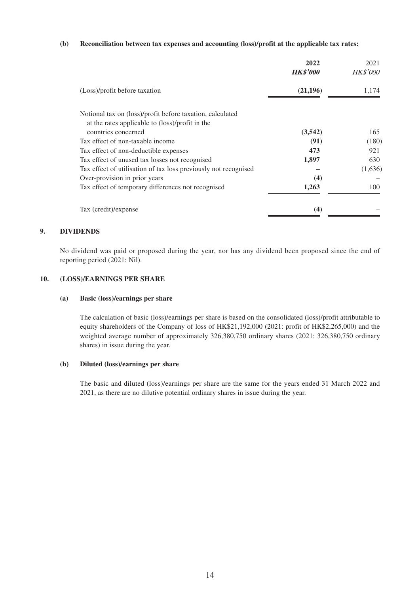#### **(b) Reconciliation between tax expenses and accounting (loss)/profit at the applicable tax rates:**

|                                                                 | 2022<br><b>HK\$'000</b> | 2021<br><b>HK\$'000</b> |
|-----------------------------------------------------------------|-------------------------|-------------------------|
| (Loss)/profit before taxation                                   | (21, 196)               | 1,174                   |
| Notional tax on (loss)/profit before taxation, calculated       |                         |                         |
| at the rates applicable to (loss)/profit in the                 |                         |                         |
| countries concerned                                             | (3,542)                 | 165                     |
| Tax effect of non-taxable income                                | (91)                    | (180)                   |
| Tax effect of non-deductible expenses                           | 473                     | 921                     |
| Tax effect of unused tax losses not recognised                  | 1,897                   | 630                     |
| Tax effect of utilisation of tax loss previously not recognised |                         | (1,636)                 |
| Over-provision in prior years                                   | (4)                     |                         |
| Tax effect of temporary differences not recognised              | 1,263                   | 100                     |
| Tax (credit)/expense                                            | (4)                     |                         |

#### **9. DIVIDENDS**

No dividend was paid or proposed during the year, nor has any dividend been proposed since the end of reporting period (2021: Nil).

#### **10. (LOSS)/EARNINGS PER SHARE**

#### **(a) Basic (loss)/earnings per share**

The calculation of basic (loss)/earnings per share is based on the consolidated (loss)/profit attributable to equity shareholders of the Company of loss of HK\$21,192,000 (2021: profit of HK\$2,265,000) and the weighted average number of approximately 326,380,750 ordinary shares (2021: 326,380,750 ordinary shares) in issue during the year.

#### **(b) Diluted (loss)/earnings per share**

The basic and diluted (loss)/earnings per share are the same for the years ended 31 March 2022 and 2021, as there are no dilutive potential ordinary shares in issue during the year.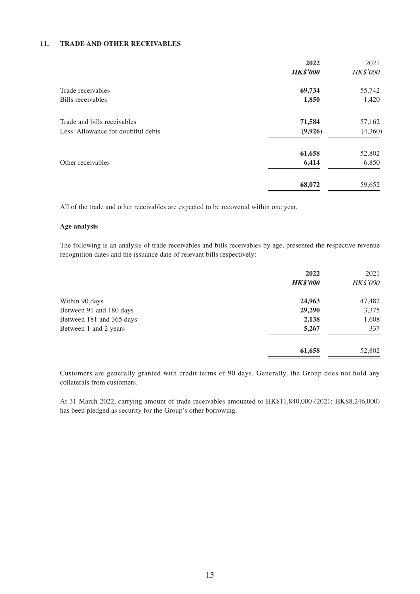#### **11. TRADE AND OTHER RECEIVABLES**

|                                    | 2022            | 2021            |
|------------------------------------|-----------------|-----------------|
|                                    | <b>HK\$'000</b> | <b>HK\$'000</b> |
| Trade receivables                  | 69,734          | 55,742          |
| Bills receivables                  | 1,850           | 1,420           |
| Trade and bills receivables        | 71,584          | 57,162          |
| Less: Allowance for doubtful debts | (9,926)         | (4,360)         |
|                                    | 61,658          | 52,802          |
| Other receivables                  | 6,414           | 6,850           |
|                                    | 68,072          | 59,652          |

All of the trade and other receivables are expected to be recovered within one year.

#### **Age analysis**

The following is an analysis of trade receivables and bills receivables by age, presented the respective revenue recognition dates and the issuance date of relevant bills respectively:

|                          | 2022            | 2021     |
|--------------------------|-----------------|----------|
|                          | <b>HK\$'000</b> | HK\$'000 |
| Within 90 days           | 24,963          | 47,482   |
| Between 91 and 180 days  | 29,290          | 3,375    |
| Between 181 and 365 days | 2,138           | 1,608    |
| Between 1 and 2 years    | 5,267           | 337      |
|                          | 61,658          | 52,802   |

Customers are generally granted with credit terms of 90 days. Generally, the Group does not hold any collaterals from customers.

At 31 March 2022, carrying amount of trade receivables amounted to HK\$11,840,000 (2021: HK\$8,246,000) has been pledged as security for the Group's other borrowing.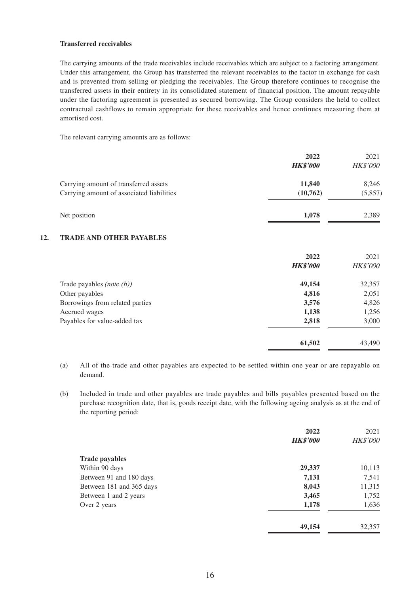#### **Transferred receivables**

The carrying amounts of the trade receivables include receivables which are subject to a factoring arrangement. Under this arrangement, the Group has transferred the relevant receivables to the factor in exchange for cash and is prevented from selling or pledging the receivables. The Group therefore continues to recognise the transferred assets in their entirety in its consolidated statement of financial position. The amount repayable under the factoring agreement is presented as secured borrowing. The Group considers the held to collect contractual cashflows to remain appropriate for these receivables and hence continues measuring them at amortised cost.

The relevant carrying amounts are as follows:

|                                                                                    | 2022<br><b>HK\$'000</b> | 2021<br><b>HK\$'000</b> |
|------------------------------------------------------------------------------------|-------------------------|-------------------------|
| Carrying amount of transferred assets<br>Carrying amount of associated liabilities | 11,840<br>(10,762)      | 8,246<br>(5,857)        |
| Net position                                                                       | 1,078                   | 2,389                   |

#### **12. TRADE AND OTHER PAYABLES**

|                                 | 2022            | 2021            |
|---------------------------------|-----------------|-----------------|
|                                 | <b>HK\$'000</b> | <b>HK\$'000</b> |
| Trade payables (note $(b)$ )    | 49,154          | 32,357          |
| Other payables                  | 4,816           | 2,051           |
| Borrowings from related parties | 3,576           | 4,826           |
| Accrued wages                   | 1,138           | 1,256           |
| Payables for value-added tax    | 2,818           | 3,000           |
|                                 | 61,502          | 43,490          |

- (a) All of the trade and other payables are expected to be settled within one year or are repayable on demand.
- (b) Included in trade and other payables are trade payables and bills payables presented based on the purchase recognition date, that is, goods receipt date, with the following ageing analysis as at the end of the reporting period:

|                          | 2022<br><b>HK\$'000</b> | 2021<br><b>HK\$'000</b> |
|--------------------------|-------------------------|-------------------------|
| <b>Trade payables</b>    |                         |                         |
| Within 90 days           | 29,337                  | 10,113                  |
| Between 91 and 180 days  | 7,131                   | 7,541                   |
| Between 181 and 365 days | 8,043                   | 11,315                  |
| Between 1 and 2 years    | 3,465                   | 1,752                   |
| Over 2 years             | 1,178                   | 1,636                   |
|                          | 49,154                  | 32,357                  |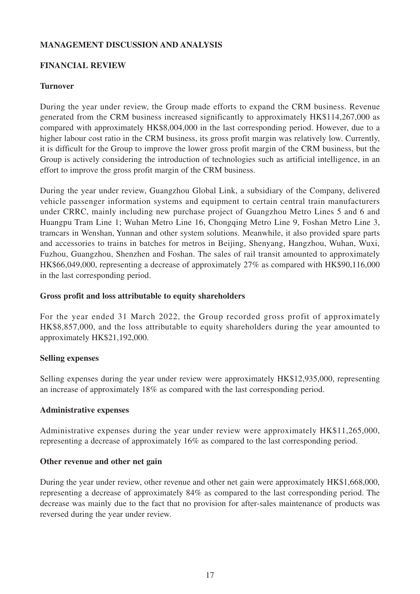### **MANAGEMENT DISCUSSION AND ANALYSIS**

### **FINANCIAL REVIEW**

### **Turnover**

During the year under review, the Group made efforts to expand the CRM business. Revenue generated from the CRM business increased significantly to approximately HK\$114,267,000 as compared with approximately HK\$8,004,000 in the last corresponding period. However, due to a higher labour cost ratio in the CRM business, its gross profit margin was relatively low. Currently, it is difficult for the Group to improve the lower gross profit margin of the CRM business, but the Group is actively considering the introduction of technologies such as artificial intelligence, in an effort to improve the gross profit margin of the CRM business.

During the year under review, Guangzhou Global Link, a subsidiary of the Company, delivered vehicle passenger information systems and equipment to certain central train manufacturers under CRRC, mainly including new purchase project of Guangzhou Metro Lines 5 and 6 and Huangpu Tram Line 1; Wuhan Metro Line 16, Chongqing Metro Line 9, Foshan Metro Line 3, tramcars in Wenshan, Yunnan and other system solutions. Meanwhile, it also provided spare parts and accessories to trains in batches for metros in Beijing, Shenyang, Hangzhou, Wuhan, Wuxi, Fuzhou, Guangzhou, Shenzhen and Foshan. The sales of rail transit amounted to approximately HK\$66,049,000, representing a decrease of approximately 27% as compared with HK\$90,116,000 in the last corresponding period.

### **Gross profit and loss attributable to equity shareholders**

For the year ended 31 March 2022, the Group recorded gross profit of approximately HK\$8,857,000, and the loss attributable to equity shareholders during the year amounted to approximately HK\$21,192,000.

### **Selling expenses**

Selling expenses during the year under review were approximately HK\$12,935,000, representing an increase of approximately 18% as compared with the last corresponding period.

### **Administrative expenses**

Administrative expenses during the year under review were approximately HK\$11,265,000, representing a decrease of approximately 16% as compared to the last corresponding period.

### **Other revenue and other net gain**

During the year under review, other revenue and other net gain were approximately HK\$1,668,000, representing a decrease of approximately 84% as compared to the last corresponding period. The decrease was mainly due to the fact that no provision for after-sales maintenance of products was reversed during the year under review.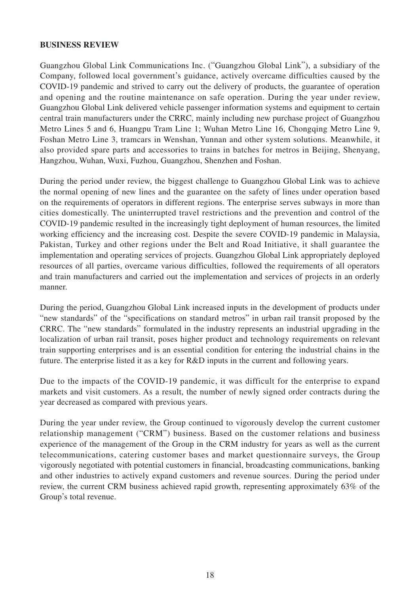### **BUSINESS REVIEW**

Guangzhou Global Link Communications Inc. ("Guangzhou Global Link"), a subsidiary of the Company, followed local government's guidance, actively overcame difficulties caused by the COVID-19 pandemic and strived to carry out the delivery of products, the guarantee of operation and opening and the routine maintenance on safe operation. During the year under review, Guangzhou Global Link delivered vehicle passenger information systems and equipment to certain central train manufacturers under the CRRC, mainly including new purchase project of Guangzhou Metro Lines 5 and 6, Huangpu Tram Line 1; Wuhan Metro Line 16, Chongqing Metro Line 9, Foshan Metro Line 3, tramcars in Wenshan, Yunnan and other system solutions. Meanwhile, it also provided spare parts and accessories to trains in batches for metros in Beijing, Shenyang, Hangzhou, Wuhan, Wuxi, Fuzhou, Guangzhou, Shenzhen and Foshan.

During the period under review, the biggest challenge to Guangzhou Global Link was to achieve the normal opening of new lines and the guarantee on the safety of lines under operation based on the requirements of operators in different regions. The enterprise serves subways in more than cities domestically. The uninterrupted travel restrictions and the prevention and control of the COVID-19 pandemic resulted in the increasingly tight deployment of human resources, the limited working efficiency and the increasing cost. Despite the severe COVID-19 pandemic in Malaysia, Pakistan, Turkey and other regions under the Belt and Road Initiative, it shall guarantee the implementation and operating services of projects. Guangzhou Global Link appropriately deployed resources of all parties, overcame various difficulties, followed the requirements of all operators and train manufacturers and carried out the implementation and services of projects in an orderly manner.

During the period, Guangzhou Global Link increased inputs in the development of products under "new standards" of the "specifications on standard metros" in urban rail transit proposed by the CRRC. The "new standards" formulated in the industry represents an industrial upgrading in the localization of urban rail transit, poses higher product and technology requirements on relevant train supporting enterprises and is an essential condition for entering the industrial chains in the future. The enterprise listed it as a key for R&D inputs in the current and following years.

Due to the impacts of the COVID-19 pandemic, it was difficult for the enterprise to expand markets and visit customers. As a result, the number of newly signed order contracts during the year decreased as compared with previous years.

During the year under review, the Group continued to vigorously develop the current customer relationship management ("CRM") business. Based on the customer relations and business experience of the management of the Group in the CRM industry for years as well as the current telecommunications, catering customer bases and market questionnaire surveys, the Group vigorously negotiated with potential customers in financial, broadcasting communications, banking and other industries to actively expand customers and revenue sources. During the period under review, the current CRM business achieved rapid growth, representing approximately 63% of the Group's total revenue.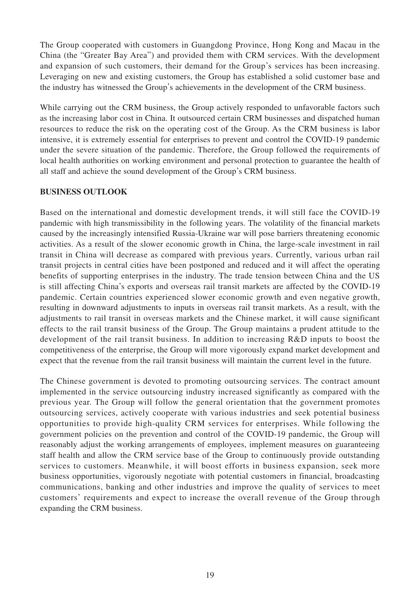The Group cooperated with customers in Guangdong Province, Hong Kong and Macau in the China (the "Greater Bay Area") and provided them with CRM services. With the development and expansion of such customers, their demand for the Group's services has been increasing. Leveraging on new and existing customers, the Group has established a solid customer base and the industry has witnessed the Group's achievements in the development of the CRM business.

While carrying out the CRM business, the Group actively responded to unfavorable factors such as the increasing labor cost in China. It outsourced certain CRM businesses and dispatched human resources to reduce the risk on the operating cost of the Group. As the CRM business is labor intensive, it is extremely essential for enterprises to prevent and control the COVID-19 pandemic under the severe situation of the pandemic. Therefore, the Group followed the requirements of local health authorities on working environment and personal protection to guarantee the health of all staff and achieve the sound development of the Group's CRM business.

### **BUSINESS OUTLOOK**

Based on the international and domestic development trends, it will still face the COVID-19 pandemic with high transmissibility in the following years. The volatility of the financial markets caused by the increasingly intensified Russia-Ukraine war will pose barriers threatening economic activities. As a result of the slower economic growth in China, the large-scale investment in rail transit in China will decrease as compared with previous years. Currently, various urban rail transit projects in central cities have been postponed and reduced and it will affect the operating benefits of supporting enterprises in the industry. The trade tension between China and the US is still affecting China's exports and overseas rail transit markets are affected by the COVID-19 pandemic. Certain countries experienced slower economic growth and even negative growth, resulting in downward adjustments to inputs in overseas rail transit markets. As a result, with the adjustments to rail transit in overseas markets and the Chinese market, it will cause significant effects to the rail transit business of the Group. The Group maintains a prudent attitude to the development of the rail transit business. In addition to increasing R&D inputs to boost the competitiveness of the enterprise, the Group will more vigorously expand market development and expect that the revenue from the rail transit business will maintain the current level in the future.

The Chinese government is devoted to promoting outsourcing services. The contract amount implemented in the service outsourcing industry increased significantly as compared with the previous year. The Group will follow the general orientation that the government promotes outsourcing services, actively cooperate with various industries and seek potential business opportunities to provide high-quality CRM services for enterprises. While following the government policies on the prevention and control of the COVID-19 pandemic, the Group will reasonably adjust the working arrangements of employees, implement measures on guaranteeing staff health and allow the CRM service base of the Group to continuously provide outstanding services to customers. Meanwhile, it will boost efforts in business expansion, seek more business opportunities, vigorously negotiate with potential customers in financial, broadcasting communications, banking and other industries and improve the quality of services to meet customers' requirements and expect to increase the overall revenue of the Group through expanding the CRM business.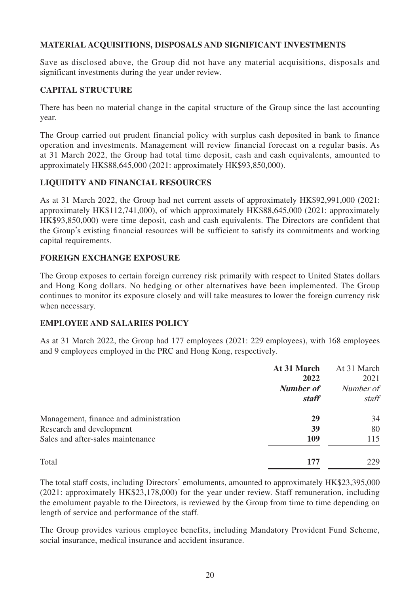## **MATERIAL ACQUISITIONS, DISPOSALS AND SIGNIFICANT INVESTMENTS**

Save as disclosed above, the Group did not have any material acquisitions, disposals and significant investments during the year under review.

## **CAPITAL STRUCTURE**

There has been no material change in the capital structure of the Group since the last accounting year.

The Group carried out prudent financial policy with surplus cash deposited in bank to finance operation and investments. Management will review financial forecast on a regular basis. As at 31 March 2022, the Group had total time deposit, cash and cash equivalents, amounted to approximately HK\$88,645,000 (2021: approximately HK\$93,850,000).

## **LIQUIDITY AND FINANCIAL RESOURCES**

As at 31 March 2022, the Group had net current assets of approximately HK\$92,991,000 (2021: approximately HK\$112,741,000), of which approximately HK\$88,645,000 (2021: approximately HK\$93,850,000) were time deposit, cash and cash equivalents. The Directors are confident that the Group's existing financial resources will be sufficient to satisfy its commitments and working capital requirements.

### **FOREIGN EXCHANGE EXPOSURE**

The Group exposes to certain foreign currency risk primarily with respect to United States dollars and Hong Kong dollars. No hedging or other alternatives have been implemented. The Group continues to monitor its exposure closely and will take measures to lower the foreign currency risk when necessary.

### **EMPLOYEE AND SALARIES POLICY**

As at 31 March 2022, the Group had 177 employees (2021: 229 employees), with 168 employees and 9 employees employed in the PRC and Hong Kong, respectively.

|                                        | At 31 March      | At 31 March |
|----------------------------------------|------------------|-------------|
|                                        | 2022             | 2021        |
|                                        | <b>Number of</b> | Number of   |
|                                        | <i>staff</i>     | staff       |
| Management, finance and administration | 29               | 34          |
| Research and development               | 39               | 80          |
| Sales and after-sales maintenance      | 109              | 115         |
| Total                                  | 177              | 229         |

The total staff costs, including Directors' emoluments, amounted to approximately HK\$23,395,000 (2021: approximately HK\$23,178,000) for the year under review. Staff remuneration, including the emolument payable to the Directors, is reviewed by the Group from time to time depending on length of service and performance of the staff.

The Group provides various employee benefits, including Mandatory Provident Fund Scheme, social insurance, medical insurance and accident insurance.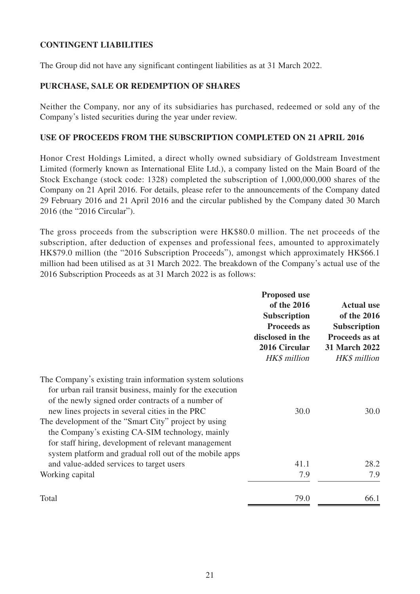# **CONTINGENT LIABILITIES**

The Group did not have any significant contingent liabilities as at 31 March 2022.

## **PURCHASE, SALE OR REDEMPTION OF SHARES**

Neither the Company, nor any of its subsidiaries has purchased, redeemed or sold any of the Company's listed securities during the year under review.

### **USE OF PROCEEDS FROM THE SUBSCRIPTION COMPLETED ON 21 APRIL 2016**

Honor Crest Holdings Limited, a direct wholly owned subsidiary of Goldstream Investment Limited (formerly known as International Elite Ltd.), a company listed on the Main Board of the Stock Exchange (stock code: 1328) completed the subscription of 1,000,000,000 shares of the Company on 21 April 2016. For details, please refer to the announcements of the Company dated 29 February 2016 and 21 April 2016 and the circular published by the Company dated 30 March 2016 (the "2016 Circular").

The gross proceeds from the subscription were HK\$80.0 million. The net proceeds of the subscription, after deduction of expenses and professional fees, amounted to approximately HK\$79.0 million (the "2016 Subscription Proceeds"), amongst which approximately HK\$66.1 million had been utilised as at 31 March 2022. The breakdown of the Company's actual use of the 2016 Subscription Proceeds as at 31 March 2022 is as follows:

|                                                                                                                                                                                                                                                                                                                                                                                                                                                                | <b>Proposed use</b><br>of the 2016<br><b>Subscription</b><br><b>Proceeds as</b><br>disclosed in the<br>2016 Circular<br>HK\$ million | <b>Actual use</b><br>of the 2016<br><b>Subscription</b><br>Proceeds as at<br><b>31 March 2022</b><br>HK\$ million |
|----------------------------------------------------------------------------------------------------------------------------------------------------------------------------------------------------------------------------------------------------------------------------------------------------------------------------------------------------------------------------------------------------------------------------------------------------------------|--------------------------------------------------------------------------------------------------------------------------------------|-------------------------------------------------------------------------------------------------------------------|
| The Company's existing train information system solutions<br>for urban rail transit business, mainly for the execution<br>of the newly signed order contracts of a number of<br>new lines projects in several cities in the PRC<br>The development of the "Smart City" project by using<br>the Company's existing CA-SIM technology, mainly<br>for staff hiring, development of relevant management<br>system platform and gradual roll out of the mobile apps | 30.0                                                                                                                                 | 30.0                                                                                                              |
| and value-added services to target users                                                                                                                                                                                                                                                                                                                                                                                                                       | 41.1                                                                                                                                 | 28.2                                                                                                              |
| Working capital                                                                                                                                                                                                                                                                                                                                                                                                                                                | 7.9                                                                                                                                  | 7.9                                                                                                               |
| Total                                                                                                                                                                                                                                                                                                                                                                                                                                                          | 79.0                                                                                                                                 | 66.1                                                                                                              |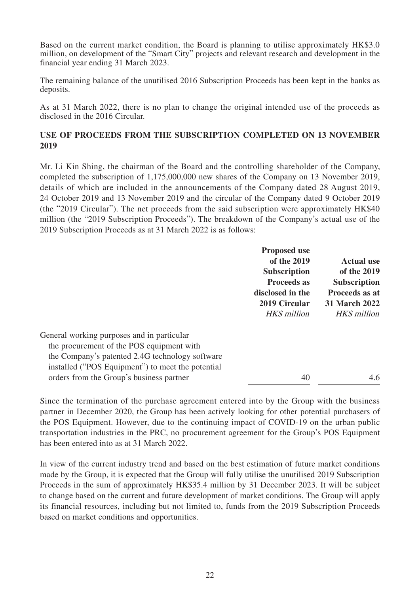Based on the current market condition, the Board is planning to utilise approximately HK\$3.0 million, on development of the "Smart City" projects and relevant research and development in the financial year ending 31 March 2023.

The remaining balance of the unutilised 2016 Subscription Proceeds has been kept in the banks as deposits.

As at 31 March 2022, there is no plan to change the original intended use of the proceeds as disclosed in the 2016 Circular.

## **USE OF PROCEEDS FROM THE SUBSCRIPTION COMPLETED ON 13 NOVEMBER 2019**

Mr. Li Kin Shing, the chairman of the Board and the controlling shareholder of the Company, completed the subscription of 1,175,000,000 new shares of the Company on 13 November 2019, details of which are included in the announcements of the Company dated 28 August 2019, 24 October 2019 and 13 November 2019 and the circular of the Company dated 9 October 2019 (the "2019 Circular"). The net proceeds from the said subscription were approximately HK\$40 million (the "2019 Subscription Proceeds"). The breakdown of the Company's actual use of the 2019 Subscription Proceeds as at 31 March 2022 is as follows:

|                                                   | <b>Proposed use</b><br>of the 2019<br><b>Subscription</b><br><b>Proceeds as</b><br>disclosed in the<br>2019 Circular<br>HK\$ million | <b>Actual use</b><br>of the 2019<br><b>Subscription</b><br><b>Proceeds as at</b><br><b>31 March 2022</b><br>HK\$ million |
|---------------------------------------------------|--------------------------------------------------------------------------------------------------------------------------------------|--------------------------------------------------------------------------------------------------------------------------|
| General working purposes and in particular        |                                                                                                                                      |                                                                                                                          |
| the procurement of the POS equipment with         |                                                                                                                                      |                                                                                                                          |
| the Company's patented 2.4G technology software   |                                                                                                                                      |                                                                                                                          |
| installed ("POS Equipment") to meet the potential |                                                                                                                                      |                                                                                                                          |
| orders from the Group's business partner          | 40                                                                                                                                   | 4.6                                                                                                                      |

Since the termination of the purchase agreement entered into by the Group with the business partner in December 2020, the Group has been actively looking for other potential purchasers of the POS Equipment. However, due to the continuing impact of COVID-19 on the urban public transportation industries in the PRC, no procurement agreement for the Group's POS Equipment has been entered into as at 31 March 2022.

In view of the current industry trend and based on the best estimation of future market conditions made by the Group, it is expected that the Group will fully utilise the unutilised 2019 Subscription Proceeds in the sum of approximately HK\$35.4 million by 31 December 2023. It will be subject to change based on the current and future development of market conditions. The Group will apply its financial resources, including but not limited to, funds from the 2019 Subscription Proceeds based on market conditions and opportunities.